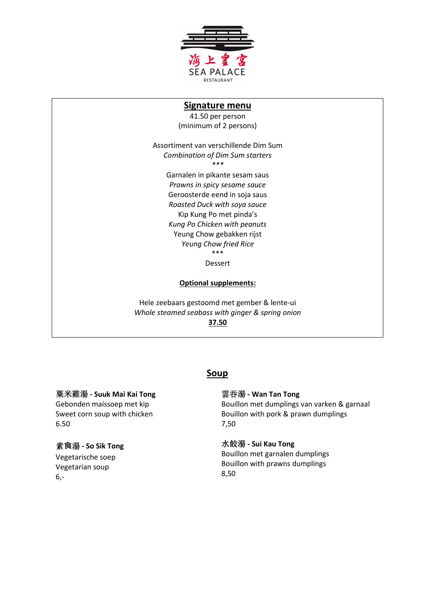

## **Signature menu**

41.50 per person (minimum of 2 persons)

Assortiment van verschillende Dim Sum *Combination of Dim Sum starters \*\*\**  Garnalen in pikante sesam saus *Prawns in spicy sesame sauce*  Geroosterde eend in soja saus *Roasted Duck with soya sauce*  Kip Kung Po met pinda's *Kung Po Chicken with peanuts*  Yeung Chow gebakken rijst *Yeung Chow fried Rice*  \*\*\*

Dessert

#### **Optional supplements:**

Hele zeebaars gestoomd met gember & lente-ui *Whole steamed seabass with ginger & spring onion*  **37.50** 

## **Soup**

#### 粟米雞湯 **- Suuk Mai Kai Tong**

Gebonden maíssoep met kip Sweet corn soup with chicken 6.50

#### 素**⻝**湯 **- So Sik Tong**

Vegetarische soep Vegetarian soup 6,-

#### 雲吞湯 **- Wan Tan Tong**

Bouillon met dumplings van varken & garnaal Bouillon with pork & prawn dumplings 7,50

#### 水餃湯 **- Sui Kau Tong**

Bouillon met garnalen dumplings Bouillon with prawns dumplings 8,50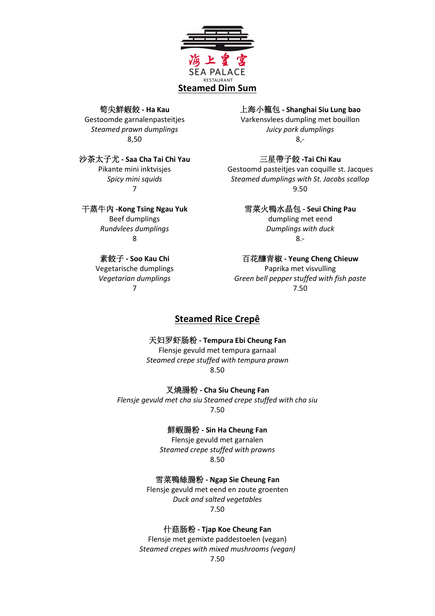

#### 筍尖鮮蝦餃 **- Ha Kau**

Gestoomde garnalenpasteitjes *Steamed prawn dumplings*  8,50

## 沙茶太子尤 **- Saa Cha Tai Chi Yau**

Pikante mini inktvisjes *Spicy mini squids* 7

#### 干蒸牛內 **-Kong Tsing Ngau Yuk**

Beef dumplings *Rundvlees dumplings* 8

## 素餃子 **- Soo Kau Chi**

Vegetarische dumplings *Vegetarian dumplings*  7

#### 上海小籠包 **- Shanghai Siu Lung bao**

Varkensvlees dumpling met bouillon *Juicy pork dumplings* 8,-

# 三星帶子餃 **-Tai Chi Kau**

Gestoomd pasteitjes van coquille st. Jacques *Steamed dumplings with St. Jacobs scallop* 9.50

# 雪菜火鴨水晶包 **- Seui Ching Pau**

dumpling met eend *Dumplings with duck* 8.-

#### 百花釀青椒 **- Yeung Cheng Chieuw**

Paprika met visvulling *Green bell pepper stuffed with fish paste* 7.50

# **Steamed Rice Crepê**

# 天妇罗虾肠粉 **- Tempura Ebi Cheung Fan**

Flensje gevuld met tempura garnaal *Steamed crepe stuffed with tempura prawn*  8.50

叉燒腸粉 **- Cha Siu Cheung Fan**

*Flensje gevuld met cha siu Steamed crepe stuffed with cha siu* 7.50

鮮蝦腸粉 **- Sin Ha Cheung Fan**

Flensje gevuld met garnalen *Steamed crepe stuffed with prawns*  8.50

雪菜鴨絲腸粉 **- Ngap Sie Cheung Fan**

Flensje gevuld met eend en zoute groenten *Duck and salted vegetables*  7.50

什菇肠粉 **- Tjap Koe Cheung Fan**

Flensje met gemixte paddestoelen (vegan) *Steamed crepes with mixed mushrooms (vegan)* 

7.50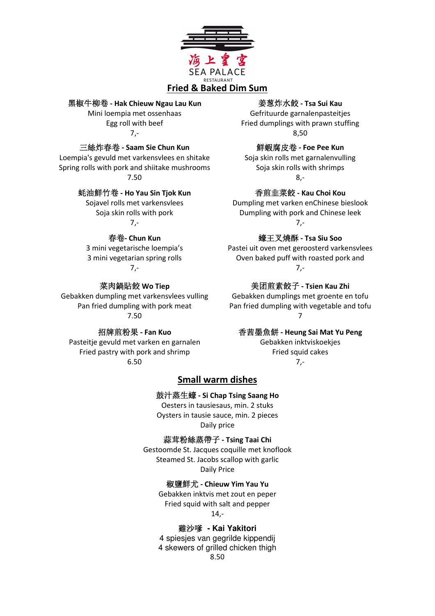

### 黑椒牛柳卷 **- Hak Chieuw Ngau Lau Kun**

Mini loempia met ossenhaas Egg roll with beef 7,-

#### 三絲炸春卷 **- Saam Sie Chun Kun**

Loempia's gevuld met varkensvlees en shitake Spring rolls with pork and shiitake mushrooms 7.50

#### 蚝油鮮竹卷 **- Ho Yau Sin Tjok Kun**

Sojavel rolls met varkensvlees Soja skin rolls with pork 7,-

#### 春卷**- Chun Kun**

3 mini vegetarische loempia's 3 mini vegetarian spring rolls 7,-

#### 菜肉鍋貼餃 **Wo Tiep**

Gebakken dumpling met varkensvlees vulling Pan fried dumpling with pork meat 7.50

# 招牌煎粉果 **- Fan Kuo**

Pasteitje gevuld met varken en garnalen Fried pastry with pork and shrimp 6.50

#### 姜葱炸水餃 **- Tsa Sui Kau**

Gefrituurde garnalenpasteitjes Fried dumplings with prawn stuffing 8,50

#### 鮮蝦腐皮卷 **- Foe Pee Kun**

Soja skin rolls met garnalenvulling Soja skin rolls with shrimps 8,-

#### 香煎韭菜餃 **- Kau Choi Kou**

Dumpling met varken enChinese bieslook Dumpling with pork and Chinese leek 7,-

#### 蠔王叉燒酥 **- Tsa Siu Soo**

Pastei uit oven met geroosterd varkensvlees Oven baked puff with roasted pork and 7,-

#### 美团煎素餃子 **- Tsien Kau Zhi**

Gebakken dumplings met groente en tofu Pan fried dumpling with vegetable and tofu 7

### 香茜墨魚餅 **- Heung Sai Mat Yu Peng**

Gebakken inktviskoekjes Fried squid cakes 7,-

#### **Small warm dishes**

#### 鼓汁蒸生蠔 **- Si Chap Tsing Saang Ho**

Oesters in tausiesaus, min. 2 stuks Oysters in tausie sauce, min. 2 pieces Daily price

#### 蒜茸粉絲蒸帶子 **- Tsing Taai Chi**

Gestoomde St. Jacques coquille met knoflook Steamed St. Jacobs scallop with garlic Daily Price

#### 椒鹽鮮尤 **- Chieuw Yim Yau Yu**

Gebakken inktvis met zout en peper Fried squid with salt and pepper 14,-

#### 雞沙嗲 **- Kai Yakitori**

4 spiesjes van gegrilde kippendij 4 skewers of grilled chicken thigh 8.50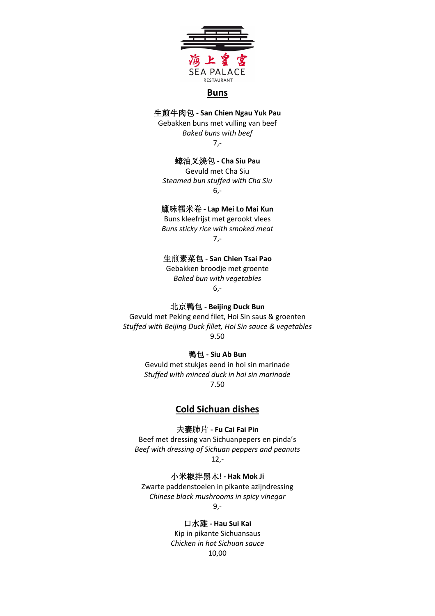

#### **Buns**

#### 生煎牛肉包 **- San Chien Ngau Yuk Pau**

Gebakken buns met vulling van beef *Baked buns with beef*  7,-

#### 蠔油叉焼包 **- Cha Siu Pau**

Gevuld met Cha Siu *Steamed bun stuffed with Cha Siu*  6,-

# 臘味糯米卷 **- Lap Mei Lo Mai Kun**

Buns kleefrijst met gerookt vlees *Buns sticky rice with smoked meat*  7,-

## 生煎素菜包 **- San Chien Tsai Pao**

Gebakken broodje met groente *Baked bun with vegetables*  6,-

#### 北京鴨包 **- Beijing Duck Bun**

Gevuld met Peking eend filet, Hoi Sin saus & groenten *Stuffed with Beijing Duck fillet, Hoi Sin sauce & vegetables*  9.50

### 鴨包 **- Siu Ab Bun**

Gevuld met stukjes eend in hoi sin marinade *Stuffed with minced duck in hoi sin marinade*  7.50

# **Cold Sichuan dishes**

#### 夫妻肺片 **- Fu Cai Fai Pin**

Beef met dressing van Sichuanpepers en pinda's *Beef with dressing of Sichuan peppers and peanuts* 12,-

#### 小米椒拌黑木**! - Hak Mok Ji**

Zwarte paddenstoelen in pikante azijndressing *Chinese black mushrooms in spicy vinegar*

9,-

#### 口水雞 **- Hau Sui Kai**

Kip in pikante Sichuansaus *Chicken in hot Sichuan sauce* 10,00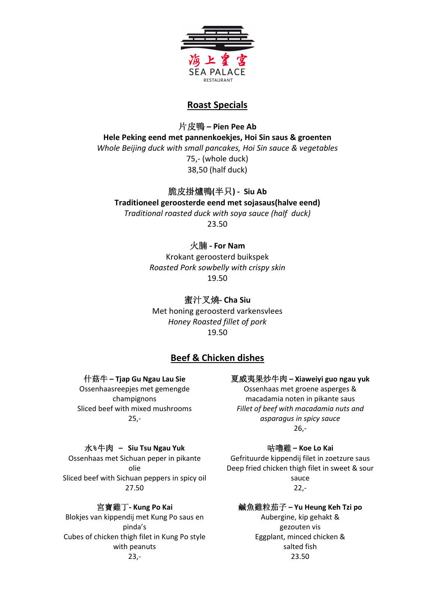

# **Roast Specials**

片皮鴨 **– Pien Pee Ab Hele Peking eend met pannenkoekjes, Hoi Sin saus & groenten** *Whole Beijing duck with small pancakes, Hoi Sin sauce & vegetables* 75,- (whole duck)

38,50 (half duck)

# 脆皮掛爐鴨**(**半只**) - Siu Ab**

## **Traditioneel geroosterde eend met sojasaus(halve eend)**

*Traditional roasted duck with soya sauce (half duck)*  23.50

# 火腩 **- For Nam**

Krokant geroosterd buikspek *Roasted Pork sowbelly with crispy skin*  19.50

# 蜜汁叉燒**- Cha Siu**

Met honing geroosterd varkensvlees *Honey Roasted fillet of pork*  19.50

# **Beef & Chicken dishes**

#### 什菇牛 **– Tjap Gu Ngau Lau Sie**

Ossenhaasreepjes met gemengde champignons Sliced beef with mixed mushrooms 25,-

#### 夏威夷果炒牛肉 **– Xiaweiyi guo ngau yuk**

Ossenhaas met groene asperges & macadamia noten in pikante saus *Fillet of beef with macadamia nuts and asparagus in spicy sauce* 26,-

#### 水**%**牛肉 **– Siu Tsu Ngau Yuk**

Ossenhaas met Sichuan peper in pikante olie Sliced beef with Sichuan peppers in spicy oil 27.50

#### 宮寶雞丁**- Kung Po Kai**

Blokjes van kippendij met Kung Po saus en pinda's Cubes of chicken thigh filet in Kung Po style with peanuts 23,-

#### 咕嚕雞 **– Koe Lo Kai**

Gefrituurde kippendij filet in zoetzure saus Deep fried chicken thigh filet in sweet & sour sauce 22,-

#### 鹹魚雞粒茄子 **– Yu Heung Keh Tzi po**

Aubergine, kip gehakt & gezouten vis Eggplant, minced chicken & salted fish 23.50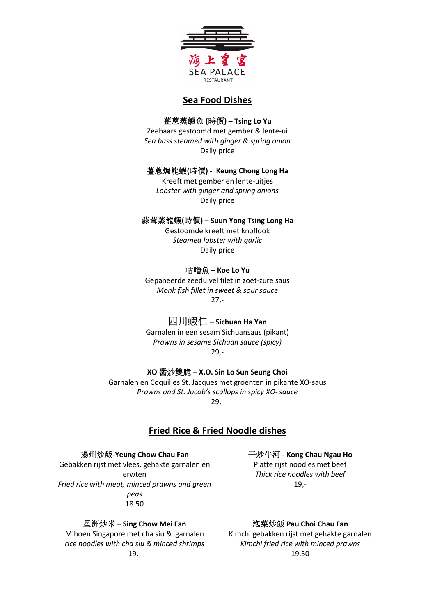

# **Sea Food Dishes**

# 薑蔥蒸鱸魚 **(**時價**) – Tsing Lo Yu**

Zeebaars gestoomd met gember & lente-ui *Sea bass steamed with ginger & spring onion*  Daily price

#### 薑蔥焗龍蝦**(**時價**) - Keung Chong Long Ha**

Kreeft met gember en lente-uitjes *Lobster with ginger and spring onions* Daily price

#### 蒜茸蒸龍蝦**(**時價**) – Suun Yong Tsing Long Ha**

Gestoomde kreeft met knoflook *Steamed lobster with garlic*  Daily price

## 咕嚕魚 **– Koe Lo Yu**

Gepaneerde zeeduivel filet in zoet-zure saus *Monk fish fillet in sweet & sour sauce*   $27 -$ 

# 四川蝦仁 **– Sichuan Ha Yan**

Garnalen in een sesam Sichuansaus (pikant) *Prawns in sesame Sichuan sauce (spicy)*  29,-

# **XO** 醬炒雙脆 **– X.O. Sin Lo Sun Seung Choi**

Garnalen en Coquilles St. Jacques met groenten in pikante XO-saus *Prawns and St. Jacob's scallops in spicy XO-sauce*  29,-

# **Fried Rice & Fried Noodle dishes**

# 揚州炒飯**-Yeung Chow Chau Fan**

Gebakken rijst met vlees, gehakte garnalen en erwten *Fried rice with meat, minced prawns and green peas*  18.50

# 星洲炒米 **– Sing Chow Mei Fan**

Mihoen Singapore met cha siu & garnalen *rice noodles with cha siu & minced shrimps*  19,-

# *Thick rice noodles with beef*  19,-

干炒牛河 **- Kong Chau Ngau Ho** Platte rijst noodles met beef

泡菜炒飯 **Pau Choi Chau Fan** Kimchi gebakken rijst met gehakte garnalen *Kimchi fried rice with minced prawns*  19.50